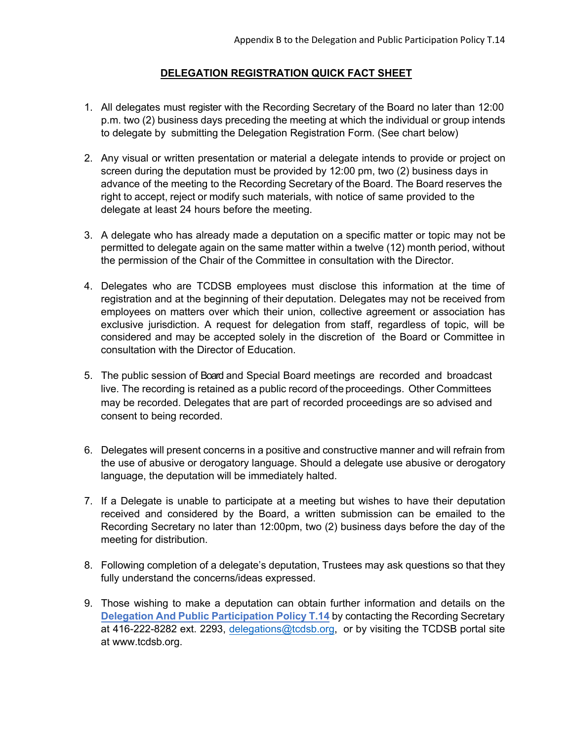## **DELEGATION REGISTRATION QUICK FACT SHEET**

- 1. All delegates must register with the Recording Secretary of the Board no later than 12:00 p.m. two (2) business days preceding the meeting at which the individual or group intends to delegate by submitting the Delegation Registration Form. (See chart below)
- right to accept, reject or modify such materials, with notice of same provided to the delegate at least 24 hours before the meeting. 2. Any visual or written presentation or material a delegate intends to provide or project on screen during the deputation must be provided by 12:00 pm, two (2) business days in advance of the meeting to the Recording Secretary of the Board. The Board reserves the
- 3. A delegate who has already made a deputation on a specific matter or topic may not be permitted to delegate again on the same matter within a twelve (12) month period, without the permission of the Chair of the Committee in consultation with the Director.
- registration and at the beginning of their deputation. Delegates may not be received from considered and may be accepted solely in the discretion of the Board or Committee in 4. Delegates who are TCDSB employees must disclose this information at the time of employees on matters over which their union, collective agreement or association has exclusive jurisdiction. A request for delegation from staff, regardless of topic, will be consultation with the Director of Education.
- 5. The public session of Board and Special Board meetings are recorded and broadcast live. The recording is retained as a public record of the proceedings. Other Committees may be recorded. Delegates that are part of recorded proceedings are so advised and consent to being recorded.
- the use of abusive or derogatory language. Should a delegate use abusive or derogatory 6. Delegates will present concerns in a positive and constructive manner and will refrain from language, the deputation will be immediately halted.
- 7. If a Delegate is unable to participate at a meeting but wishes to have their deputation received and considered by the Board, a written submission can be emailed to the Recording Secretary no later than 12:00pm, two (2) business days before the day of the meeting for distribution.
- 8. Following completion of a delegate's deputation, Trustees may ask questions so that they fully understand the concerns/ideas expressed.
- 9. Those wishing to make a deputation can obtain further information and details on the **Delegation And Public Participation Policy T.14** by contacting the Recording Secretary at 416-222-8282 ext. 2293[, delegations@tcdsb.org,](mailto:delegations@tcdsb.org) or by visiting the TCDSB portal site a[t www.tcdsb.org.](http://www.tcdsb.org/)